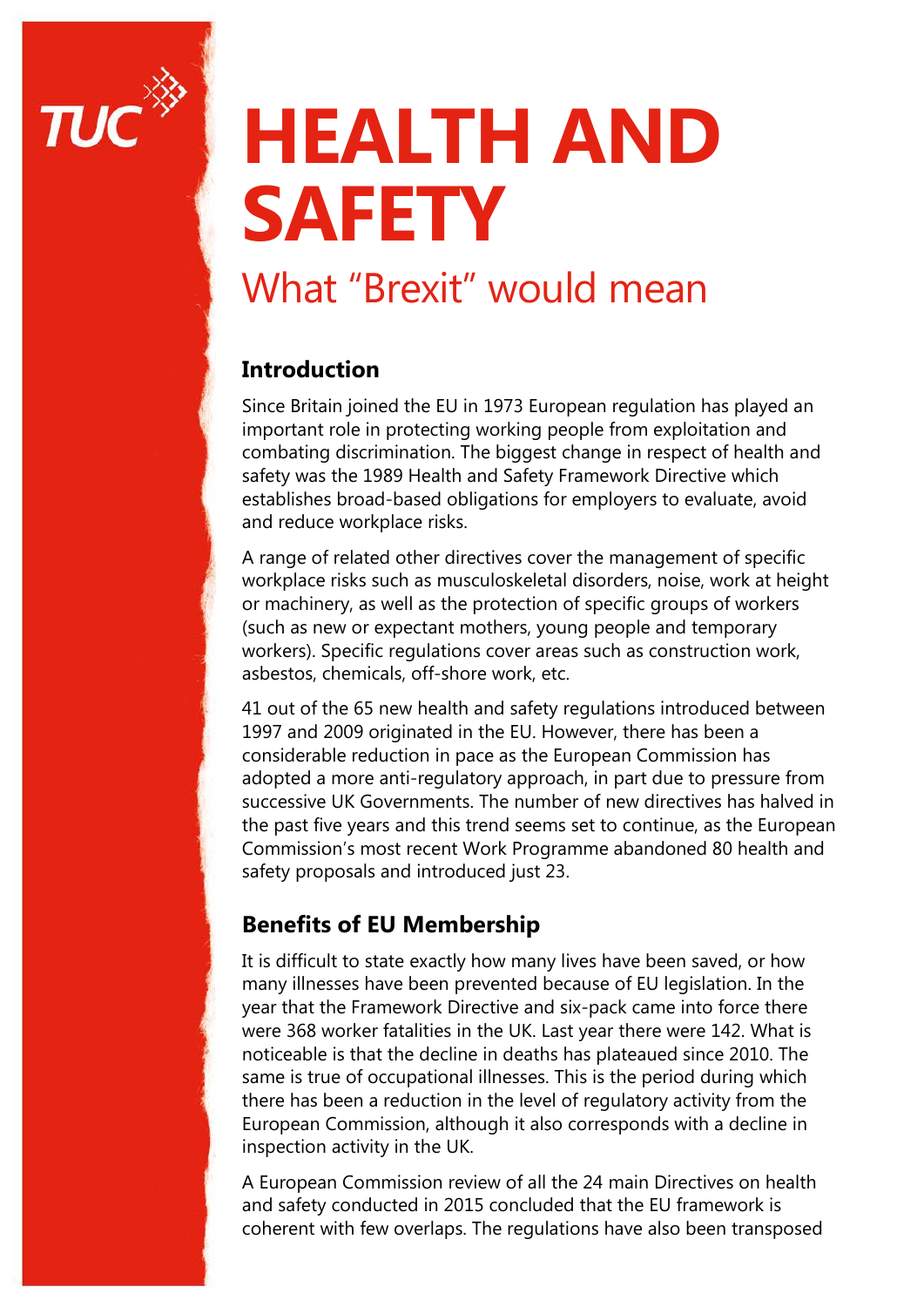

# **HEALTH AND SAFETY**

## What "Brexit" would mean

#### **Introduction**

Since Britain joined the EU in 1973 European regulation has played an important role in protecting working people from exploitation and combating discrimination. The biggest change in respect of health and safety was the 1989 Health and Safety Framework Directive which establishes broad-based obligations for employers to evaluate, avoid and reduce workplace risks.

A range of related other directives cover the management of specific workplace risks such as musculoskeletal disorders, noise, work at height or machinery, as well as the protection of specific groups of workers (such as new or expectant mothers, young people and temporary workers). Specific regulations cover areas such as construction work, asbestos, chemicals, off-shore work, etc.

41 out of the 65 new health and safety regulations introduced between 1997 and 2009 originated in the EU. However, there has been a considerable reduction in pace as the European Commission has adopted a more anti-regulatory approach, in part due to pressure from successive UK Governments. The number of new directives has halved in the past five years and this trend seems set to continue, as the European Commission's most recent Work Programme abandoned 80 health and safety proposals and introduced just 23.

#### **Benefits of EU Membership**

It is difficult to state exactly how many lives have been saved, or how many illnesses have been prevented because of EU legislation. In the year that the Framework Directive and six-pack came into force there were 368 worker fatalities in the UK. Last year there were 142. What is noticeable is that the decline in deaths has plateaued since 2010. The same is true of occupational illnesses. This is the period during which there has been a reduction in the level of regulatory activity from the European Commission, although it also corresponds with a decline in inspection activity in the UK.

A European Commission review of all the 24 main Directives on health and safety conducted in 2015 concluded that the EU framework is coherent with few overlaps. The regulations have also been transposed